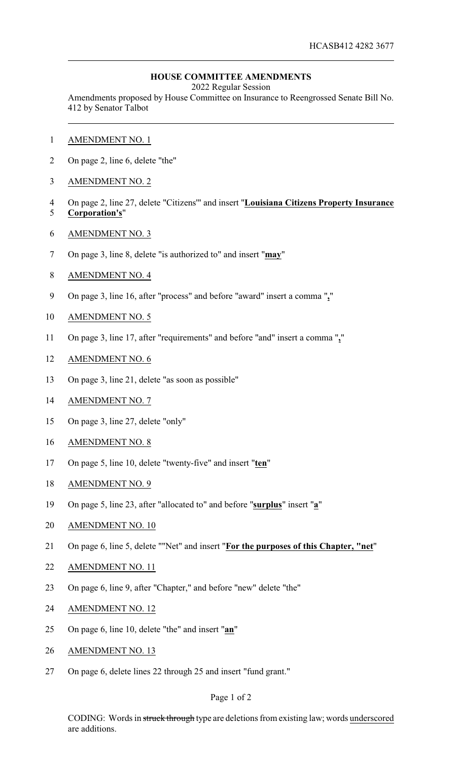## **HOUSE COMMITTEE AMENDMENTS**

2022 Regular Session

Amendments proposed by House Committee on Insurance to Reengrossed Senate Bill No. 412 by Senator Talbot

- AMENDMENT NO. 1
- On page 2, line 6, delete "the"
- AMENDMENT NO. 2
- On page 2, line 27, delete "Citizens'" and insert "**Louisiana Citizens Property Insurance Corporation's**"
- AMENDMENT NO. 3
- On page 3, line 8, delete "is authorized to" and insert "**may**"
- AMENDMENT NO. 4
- On page 3, line 16, after "process" and before "award" insert a comma "**,**"
- AMENDMENT NO. 5
- On page 3, line 17, after "requirements" and before "and" insert a comma "**,**"
- AMENDMENT NO. 6
- On page 3, line 21, delete "as soon as possible"
- AMENDMENT NO. 7
- On page 3, line 27, delete "only"
- AMENDMENT NO. 8
- On page 5, line 10, delete "twenty-five" and insert "**ten**"
- AMENDMENT NO. 9
- On page 5, line 23, after "allocated to" and before "**surplus**" insert "**a**"
- AMENDMENT NO. 10
- On page 6, line 5, delete ""Net" and insert "**For the purposes of this Chapter, "net**"
- AMENDMENT NO. 11
- On page 6, line 9, after "Chapter," and before "new" delete "the"
- AMENDMENT NO. 12
- On page 6, line 10, delete "the" and insert "**an**"
- AMENDMENT NO. 13
- On page 6, delete lines 22 through 25 and insert "fund grant."

## Page 1 of 2

CODING: Words in struck through type are deletions from existing law; words underscored are additions.